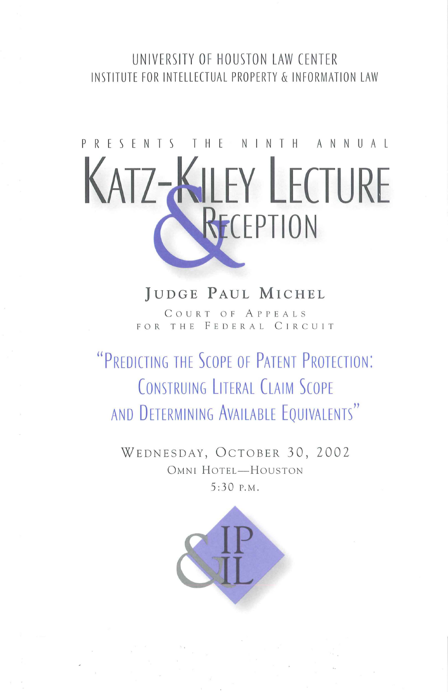#### UNIVERSITY OF HOUSTON LAW CENTER INSTITUTE FOR INTELLECTUAL PROPERTY & INFORMATION LAW

# PRESENTS THE NINTH ANNUAL **KATZ-KILEY LECTURE CEPTION**

### JUDGE PAUL MICHEL

COURT OF APPEALS FOR THE FEDERAL CIRCUIT

## "PREDICTING THE SCOPE OF PATENT PROTECTION: CONSTRUING LITERAL CLAIM SCOPE AND DETERMINING AVAILABLE EQUIVALENTS"

WEDNESDAY, OCTOBER 30, 2002 OMNI HOTEL-HOUSTON 5 :30 P.M .

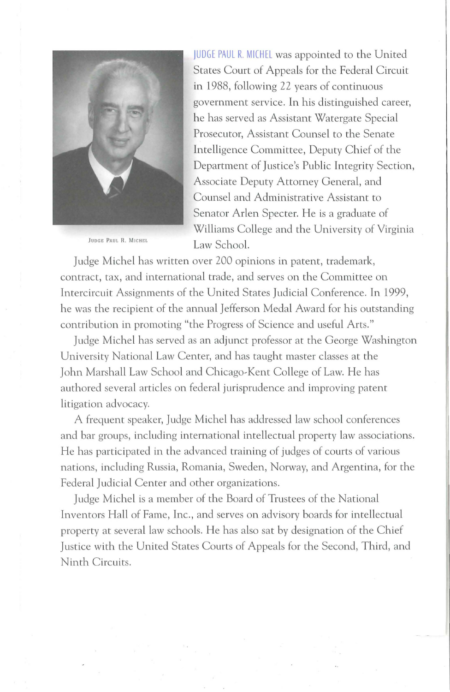

JUDGE PAUL R. MICHEL

JUDGE PAUL R. MICHEL was appointed to the United States Court of Appeals for the Federal Circuit in 1988, following 22 years of continuous government service. In his distinguished career, he has served as Assistant Watergate Special Prosecutor, Assistant Counsel to the Senate Intelligence Committee, Deputy Chief of the Department of Justice's Public Integrity Section., Associate Deputy Attorney General, and Counsel and Administrative Assistant to Senator Arlen Specter. He is a graduate of Williams College and the University of Virginia Law School.

Judge Michel has written over 200 opinions in patent, trademark, contract, tax, and international trade, and serves on the Committee on Intercircuit Assignments of the United States Judicial Conference. In 1999, he was the recipient of the annual Jefferson Medal Award for his outstanding contribution in promoting "the Progress of Science and useful Arts."

Judge Michel has served as an adjunct professor at the George Washington University National Law Center, and has taught master classes at the John Marshall Law School and Chicago~Kent College of Law. He has authored several articles on federal jurisprudence and improving patent litigation advocacy.

A frequent speaker, Judge Michel has addressed law school conferences and bar groups, including international intellectual property law associations. He has participated in the advanced training of judges of courts of various nations, including Russia, Romania, Sweden, Norway, and Argentina, for the Federal Judicial Center and other organizations.

Judge Michel is a member of the Board of Trustees of the National Inventors Hall of Fame, Inc., and serves on advisory boards for intellectual property at several law schools. He has also sat by designation of the Chief Justice with the United States Courts of Appeals for the Second, Third, and Ninth Circuits.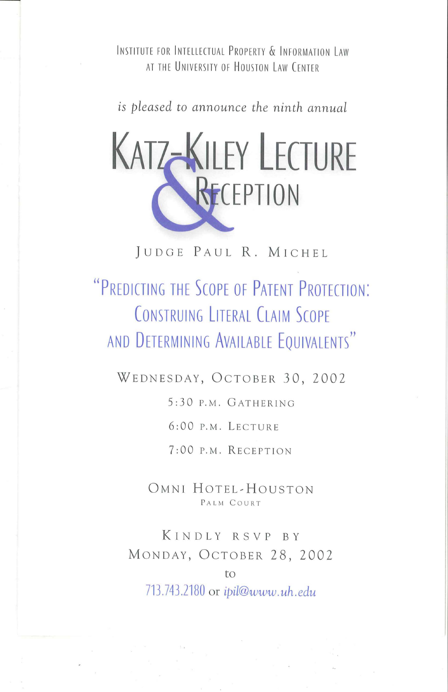INSTITUTE FOR INTELLECTUAL PROPERTY & INFORMATION LAW AT THE UNIVERSITY OF HOUSTON LAW CENTER

*is pleased to announce the ninth annual* 



JUDGE PAUL R. MICHEL

## **"PREDICTING THE SCOPE OF PATENT PROTECTION: CONSTRUING LITERAL CLAIM SCOPE AND DETERMINING AVAILABLE EQUIVALENTS"**

WEDNESDAY, OCTOBER 30, 2002

5:30 P.M . GATHERING

6:00 P.M. LECTURE

7:00 P.M. RECEPTION

OMNI HOTEL~HOUSTON PALM COURT

KINDLY RSVP BY MONDAY, OCTOBER 28, 2002

713.743.2180 or *ipil@www.uh.edu* 

to